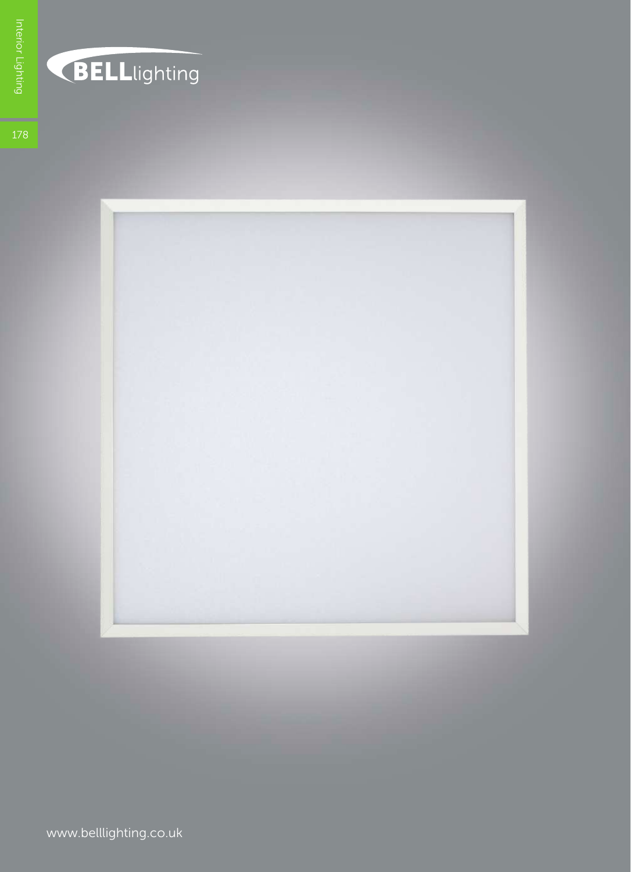



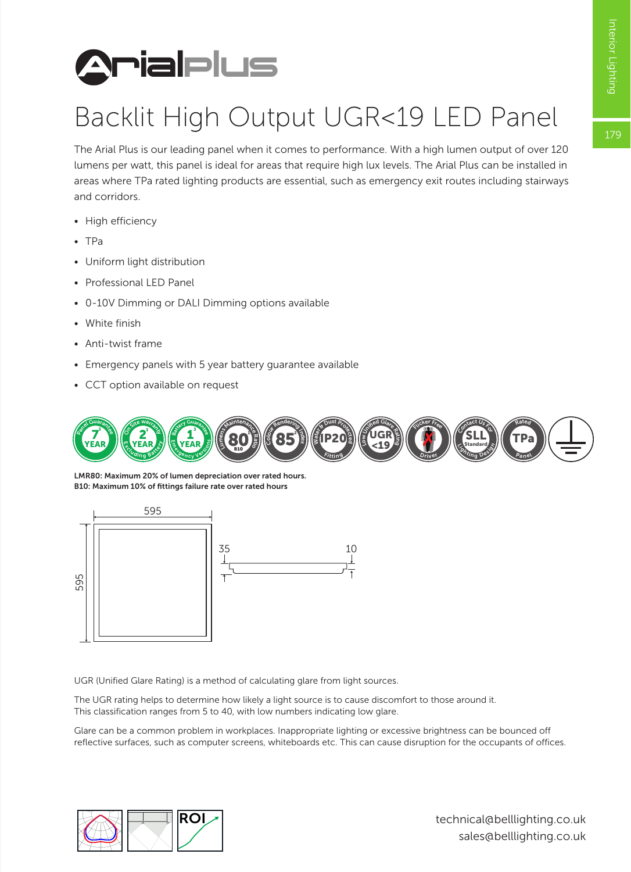



## Backlit High Output UGR<19 LED Panel

The Arial Plus is our leading panel when it comes to performance. With a high lumen output of over 120 lumens per watt, this panel is ideal for areas that require high lux levels. The Arial Plus can be installed in areas where TPa rated lighting products are essential, such as emergency exit routes including stairways and corridors.

- High efficiency
- TPa
- Uniform light distribution
- Professional LED Panel
- 0-10V Dimming or DALI Dimming options available
- White finish
- Anti-twist frame
- Emergency panels with 5 year battery guarantee available
- CCT option available on request



LMR80: Maximum 20% of lumen depreciation over rated hours. B10: Maximum 10% of fittings failure rate over rated hours



UGR (Unified Glare Rating) is a method of calculating glare from light sources.

The UGR rating helps to determine how likely a light source is to cause discomfort to those around it. This classification ranges from 5 to 40, with low numbers indicating low glare.

Glare can be a common problem in workplaces. Inappropriate lighting or excessive brightness can be bounced off reflective surfaces, such as computer screens, whiteboards etc. This can cause disruption for the occupants of offices.



technical@belllighting.co.uk sales@belllighting.co.uk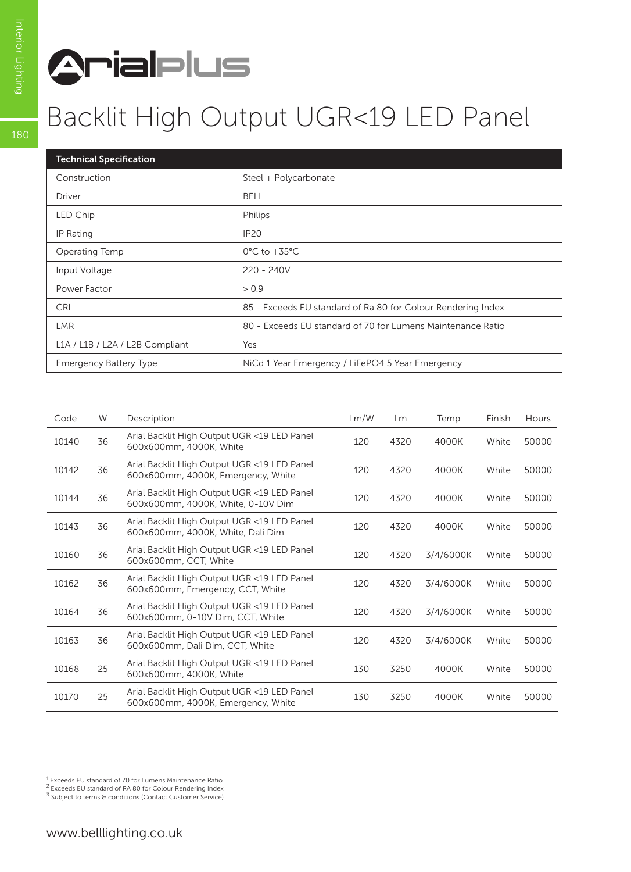

## Backlit High Output UGR<19 LED Panel

| <b>Technical Specification</b>  |                                                              |
|---------------------------------|--------------------------------------------------------------|
| Construction                    | Steel + Polycarbonate                                        |
| Driver                          | <b>BELL</b>                                                  |
| LED Chip                        | Philips                                                      |
| IP Rating                       | <b>IP20</b>                                                  |
| Operating Temp                  | $0^{\circ}$ C to +35 $^{\circ}$ C                            |
| Input Voltage                   | $220 - 240V$                                                 |
| Power Factor                    | > 0.9                                                        |
| <b>CRI</b>                      | 85 - Exceeds EU standard of Ra 80 for Colour Rendering Index |
| <b>LMR</b>                      | 80 - Exceeds EU standard of 70 for Lumens Maintenance Ratio  |
| L1A / L1B / L2A / L2B Compliant | Yes                                                          |
| <b>Emergency Battery Type</b>   | NiCd 1 Year Emergency / LiFePO4 5 Year Emergency             |

| Code  | W  | Description                                                                       | Lm/W | Lm   | Temp      | Finish | <b>Hours</b> |
|-------|----|-----------------------------------------------------------------------------------|------|------|-----------|--------|--------------|
| 10140 | 36 | Arial Backlit High Output UGR <19 LED Panel<br>600x600mm, 4000K, White            | 120  | 4320 | 4000K     | White  | 50000        |
| 10142 | 36 | Arial Backlit High Output UGR <19 LED Panel<br>600x600mm, 4000K, Emergency, White | 120  | 4320 | 4000K     | White  | 50000        |
| 10144 | 36 | Arial Backlit High Output UGR <19 LED Panel<br>600x600mm, 4000K, White, 0-10V Dim | 120  | 4320 | 4000K     | White  | 50000        |
| 10143 | 36 | Arial Backlit High Output UGR <19 LED Panel<br>600x600mm, 4000K, White, Dali Dim  | 120  | 4320 | 4000K     | White  | 50000        |
| 10160 | 36 | Arial Backlit High Output UGR <19 LED Panel<br>600x600mm, CCT, White              | 120  | 4320 | 3/4/6000K | White  | 50000        |
| 10162 | 36 | Arial Backlit High Output UGR <19 LED Panel<br>600x600mm, Emergency, CCT, White   | 120  | 4320 | 3/4/6000K | White  | 50000        |
| 10164 | 36 | Arial Backlit High Output UGR <19 LED Panel<br>600x600mm, 0-10V Dim, CCT, White   | 120  | 4320 | 3/4/6000K | White  | 50000        |
| 10163 | 36 | Arial Backlit High Output UGR <19 LED Panel<br>600x600mm, Dali Dim, CCT, White    | 120  | 4320 | 3/4/6000K | White  | 50000        |
| 10168 | 25 | Arial Backlit High Output UGR <19 LED Panel<br>600x600mm, 4000K, White            | 130  | 3250 | 4000K     | White  | 50000        |
| 10170 | 25 | Arial Backlit High Output UGR <19 LED Panel<br>600x600mm, 4000K, Emergency, White | 130  | 3250 | 4000K     | White  | 50000        |

<sup>1</sup> Exceeds EU standard of 70 for Lumens Maintenance Ratio<br><sup>2</sup> Exceeds EU standard of RA 80 for Colour Rendering Index

 $3$  Subject to terms & conditions (Contact Customer Service)